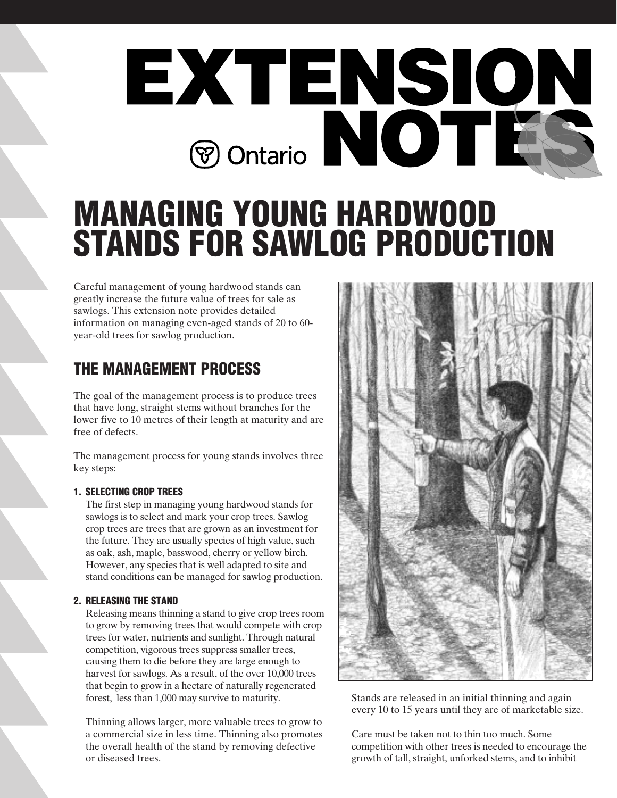

# **MANAGING YOUNG HARDWOOD STANDS FOR SAWLOG PRODUCTION**

Careful management of young hardwood stands can greatly increase the future value of trees for sale as sawlogs. This extension note provides detailed information on managing even-aged stands of 20 to 60 year-old trees for sawlog production.

## **THE MANAGEMENT PROCESS**

The goal of the management process is to produce trees that have long, straight stems without branches for the lower five to 10 metres of their length at maturity and are free of defects.

The management process for young stands involves three key steps:

#### **1. SELECTING CROP TREES**

The first step in managing young hardwood stands for sawlogs is to select and mark your crop trees. Sawlog crop trees are trees that are grown as an investment for the future. They are usually species of high value, such as oak, ash, maple, basswood, cherry or yellow birch. However, any species that is well adapted to site and stand conditions can be managed for sawlog production.

#### **2. RELEASING THE STAND**

Releasing means thinning a stand to give crop trees room to grow by removing trees that would compete with crop trees for water, nutrients and sunlight. Through natural competition, vigorous trees suppress smaller trees, causing them to die before they are large enough to harvest for sawlogs. As a result, of the over 10,000 trees that begin to grow in a hectare of naturally regenerated forest, less than 1,000 may survive to maturity.

Thinning allows larger, more valuable trees to grow to a commercial size in less time. Thinning also promotes the overall health of the stand by removing defective or diseased trees.



Stands are released in an initial thinning and again every 10 to 15 years until they are of marketable size.

Care must be taken not to thin too much. Some competition with other trees is needed to encourage the growth of tall, straight, unforked stems, and to inhibit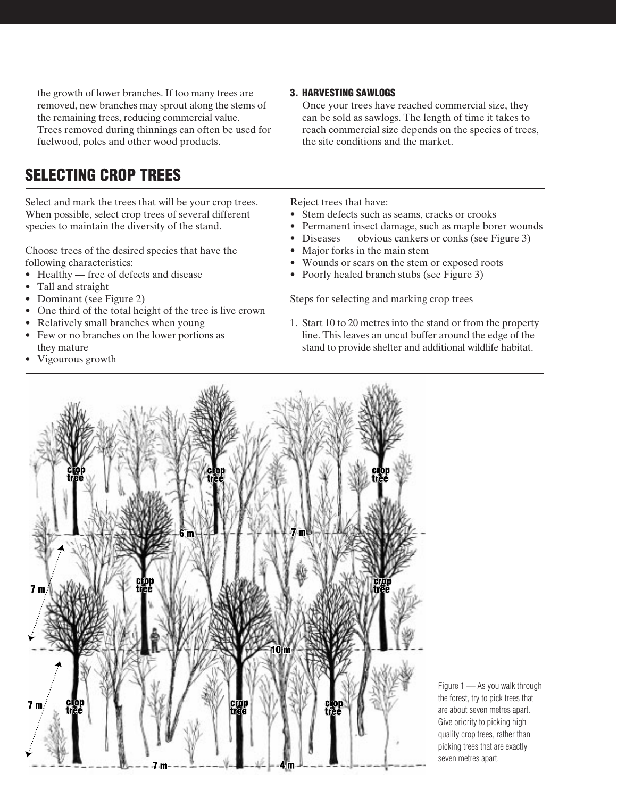the growth of lower branches. If too many trees are removed, new branches may sprout along the stems of the remaining trees, reducing commercial value. Trees removed during thinnings can often be used for fuelwood, poles and other wood products.

### **SELECTING CROP TREES**

Select and mark the trees that will be your crop trees. When possible, select crop trees of several different species to maintain the diversity of the stand.

Choose trees of the desired species that have the following characteristics:

- Healthy free of defects and disease
- Tall and straight
- Dominant (see Figure 2)
- One third of the total height of the tree is live crown
- Relatively small branches when young
- Few or no branches on the lower portions as they mature
- Vigourous growth

#### **3. HARVESTING SAWLOGS**

Once your trees have reached commercial size, they can be sold as sawlogs. The length of time it takes to reach commercial size depends on the species of trees, the site conditions and the market.

Reject trees that have:

- Stem defects such as seams, cracks or crooks
- Permanent insect damage, such as maple borer wounds
- Diseases obvious cankers or conks (see Figure 3)
- Major forks in the main stem
- Wounds or scars on the stem or exposed roots
- Poorly healed branch stubs (see Figure 3)

Steps for selecting and marking crop trees

1. Start 10 to 20 metres into the stand or from the property line. This leaves an uncut buffer around the edge of the stand to provide shelter and additional wildlife habitat.



Figure 1 — As you walk through the forest, try to pick trees that are about seven metres apart. Give priority to picking high quality crop trees, rather than picking trees that are exactly seven metres apart.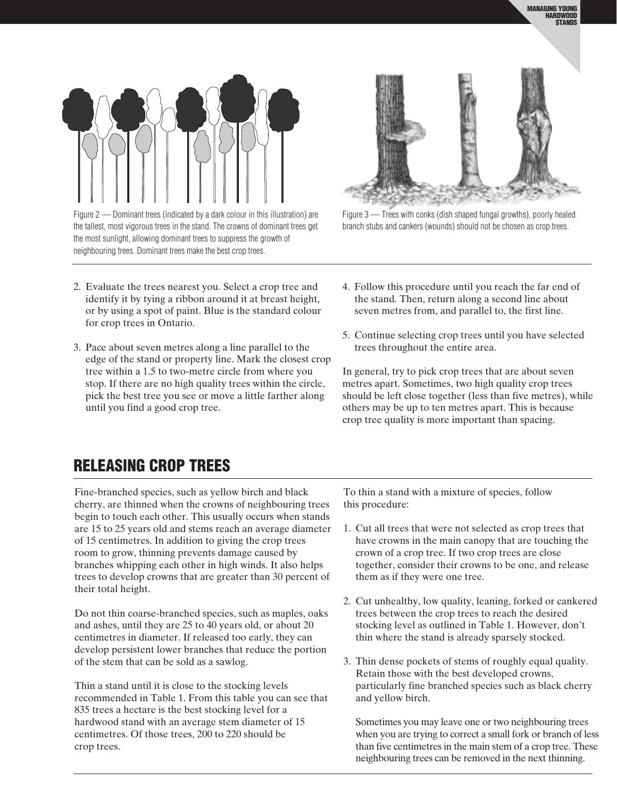

Figure 2 — Dominant trees (indicated by a dark colour in this illustration) are the tallest, most vigorous trees in the stand. The crowns of dominant trees get the most sunlight, allowing dominant trees to suppress the growth of neighbouring trees. Dominant trees make the best crop trees.

- 2. Evaluate the trees nearest you. Select a crop tree and identify it by tying a ribbon around it at breast height, or by using a spot of paint. Blue is the standard colour for crop trees in Ontario.
- 3. Pace about seven metres along a line parallel to the edge of the stand or property line. Mark the closest crop tree within a 1.5 to two-metre circle from where you stop. If there are no high quality trees within the circle, pick the best tree you see or move a little farther along until you find a good crop tree.



Figure 3 — Trees with conks (dish shaped fungal growths), poorly healed branch stubs and cankers (wounds) should not be chosen as crop trees.

- 4. Follow this procedure until you reach the far end of the stand. Then, return along a second line about seven metres from, and parallel to, the first line.
- 5. Continue selecting crop trees until you have selected trees throughout the entire area.

In general, try to pick crop trees that are about seven metres apart. Sometimes, two high quality crop trees should be left close together (less than five metres), while others may be up to ten metres apart. This is because crop tree quality is more important than spacing.

### **RELEASING CROP TREES**

Fine-branched species, such as yellow birch and black cherry, are thinned when the crowns of neighbouring trees begin to touch each other. This usually occurs when stands are 15 to 25 years old and stems reach an average diameter of 15 centimetres. In addition to giving the crop trees room to grow, thinning prevents damage caused by branches whipping each other in high winds. It also helps trees to develop crowns that are greater than 30 percent of their total height.

Do not thin coarse-branched species, such as maples, oaks and ashes, until they are 25 to 40 years old, or about 20 centimetres in diameter. If released too early, they can develop persistent lower branches that reduce the portion of the stem that can be sold as a sawlog.

Thin a stand until it is close to the stocking levels recommended in Table 1. From this table you can see that 835 trees a hectare is the best stocking level for a hardwood stand with an average stem diameter of 15 centimetres. Of those trees, 200 to 220 should be crop trees.

To thin a stand with a mixture of species, follow this procedure:

- 1. Cut all trees that were not selected as crop trees that have crowns in the main canopy that are touching the crown of a crop tree. If two crop trees are close together, consider their crowns to be one, and release them as if they were one tree.
- 2. Cut unhealthy, low quality, leaning, forked or cankered trees between the crop trees to reach the desired stocking level as outlined in Table 1. However, don't thin where the stand is already sparsely stocked.
- 3. Thin dense pockets of stems of roughly equal quality. Retain those with the best developed crowns, particularly fine branched species such as black cherry and yellow birch.

Sometimes you may leave one or two neighbouring trees when you are trying to correct a small fork or branch of less than five centimetres in the main stem of a crop tree. These neighbouring trees can be removed in the next thinning.